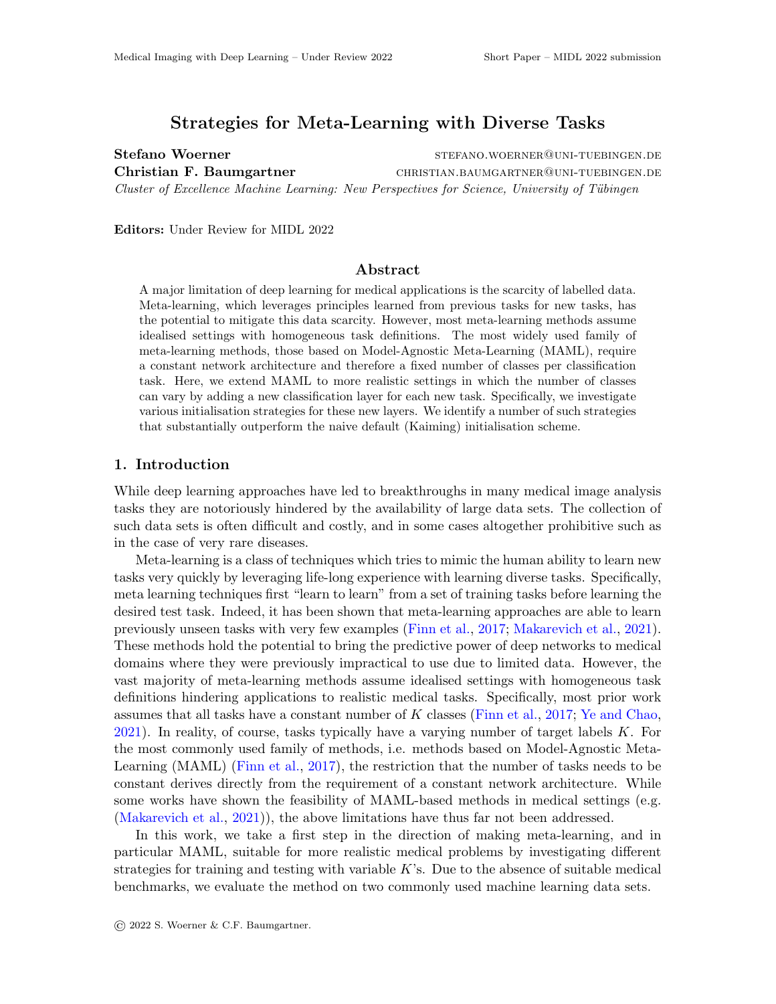# Strategies for Meta-Learning with Diverse Tasks

Stefano Woerner stefano.woerner stefano.woerner stefano.woerner Christian F. Baumgartner CHRISTIAN.BAUMGARTNER@UNI-TUEBINGEN.DE Cluster of Excellence Machine Learning: New Perspectives for Science, University of Tübingen

Editors: Under Review for MIDL 2022

### Abstract

A major limitation of deep learning for medical applications is the scarcity of labelled data. Meta-learning, which leverages principles learned from previous tasks for new tasks, has the potential to mitigate this data scarcity. However, most meta-learning methods assume idealised settings with homogeneous task definitions. The most widely used family of meta-learning methods, those based on Model-Agnostic Meta-Learning (MAML), require a constant network architecture and therefore a fixed number of classes per classification task. Here, we extend MAML to more realistic settings in which the number of classes can vary by adding a new classification layer for each new task. Specifically, we investigate various initialisation strategies for these new layers. We identify a number of such strategies that substantially outperform the naive default (Kaiming) initialisation scheme.

#### 1. Introduction

While deep learning approaches have led to breakthroughs in many medical image analysis tasks they are notoriously hindered by the availability of large data sets. The collection of such data sets is often difficult and costly, and in some cases altogether prohibitive such as in the case of very rare diseases.

Meta-learning is a class of techniques which tries to mimic the human ability to learn new tasks very quickly by leveraging life-long experience with learning diverse tasks. Specifically, meta learning techniques first "learn to learn" from a set of training tasks before learning the desired test task. Indeed, it has been shown that meta-learning approaches are able to learn previously unseen tasks with very few examples [\(Finn et al.,](#page-2-0) [2017;](#page-2-0) [Makarevich et al.,](#page-2-1) [2021\)](#page-2-1). These methods hold the potential to bring the predictive power of deep networks to medical domains where they were previously impractical to use due to limited data. However, the vast majority of meta-learning methods assume idealised settings with homogeneous task definitions hindering applications to realistic medical tasks. Specifically, most prior work assumes that all tasks have a constant number of K classes [\(Finn et al.,](#page-2-0) [2017;](#page-2-0) [Ye and Chao,](#page-2-2) [2021\)](#page-2-2). In reality, of course, tasks typically have a varying number of target labels K. For the most commonly used family of methods, i.e. methods based on Model-Agnostic Meta-Learning (MAML) [\(Finn et al.,](#page-2-0) [2017\)](#page-2-0), the restriction that the number of tasks needs to be constant derives directly from the requirement of a constant network architecture. While some works have shown the feasibility of MAML-based methods in medical settings (e.g. [\(Makarevich et al.,](#page-2-1) [2021\)](#page-2-1)), the above limitations have thus far not been addressed.

In this work, we take a first step in the direction of making meta-learning, and in particular MAML, suitable for more realistic medical problems by investigating different strategies for training and testing with variable K's. Due to the absence of suitable medical benchmarks, we evaluate the method on two commonly used machine learning data sets.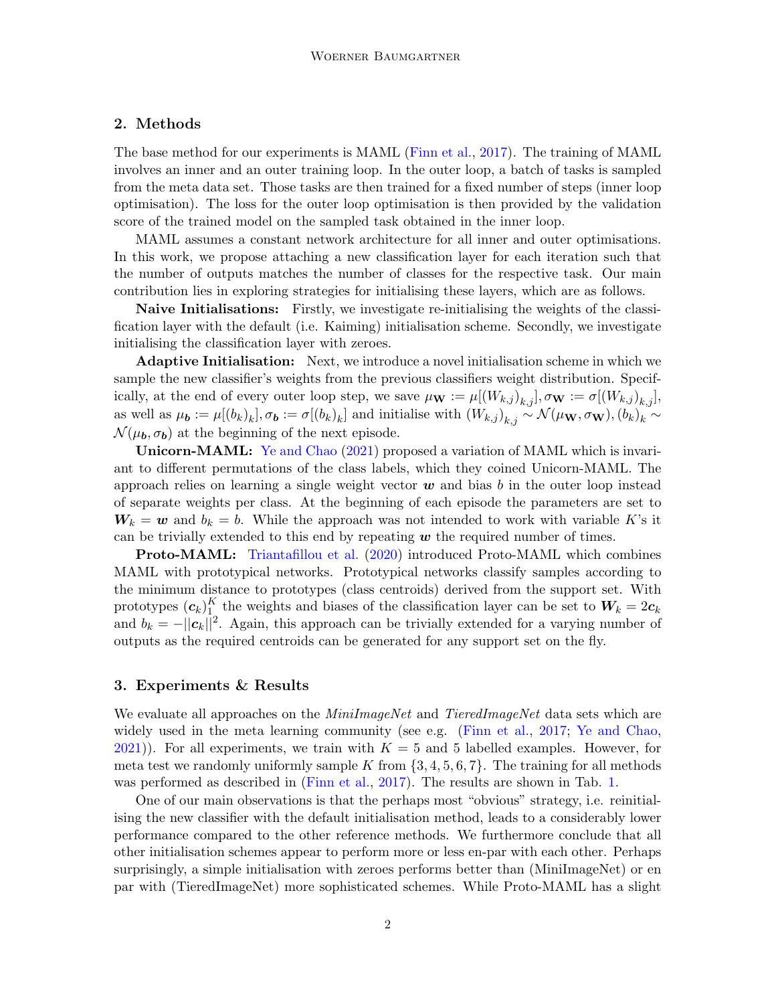## 2. Methods

The base method for our experiments is MAML [\(Finn et al.,](#page-2-0) [2017\)](#page-2-0). The training of MAML involves an inner and an outer training loop. In the outer loop, a batch of tasks is sampled from the meta data set. Those tasks are then trained for a fixed number of steps (inner loop optimisation). The loss for the outer loop optimisation is then provided by the validation score of the trained model on the sampled task obtained in the inner loop.

MAML assumes a constant network architecture for all inner and outer optimisations. In this work, we propose attaching a new classification layer for each iteration such that the number of outputs matches the number of classes for the respective task. Our main contribution lies in exploring strategies for initialising these layers, which are as follows.

Naive Initialisations: Firstly, we investigate re-initialising the weights of the classification layer with the default (i.e. Kaiming) initialisation scheme. Secondly, we investigate initialising the classification layer with zeroes.

Adaptive Initialisation: Next, we introduce a novel initialisation scheme in which we sample the new classifier's weights from the previous classifiers weight distribution. Specifically, at the end of every outer loop step, we save  $\mu_{\mathbf{W}} := \mu[(W_{k,j})_{k,j}], \sigma_{\mathbf{W}} := \sigma[(W_{k,j})_{k,j}],$ as well as  $\mu_{\bf b} := \mu[(b_k)_k], \sigma_{\bf b} := \sigma[(b_k)_k]$  and initialise with  $(W_{k,j})_{k,j} \sim \mathcal{N}(\mu_{\bf W}, \sigma_{\bf W}), (b_k)_k \sim$  $\mathcal{N}(\mu_b, \sigma_b)$  at the beginning of the next episode.

Unicorn-MAML: [Ye and Chao](#page-2-2) [\(2021\)](#page-2-2) proposed a variation of MAML which is invariant to different permutations of the class labels, which they coined Unicorn-MAML. The approach relies on learning a single weight vector  $w$  and bias b in the outer loop instead of separate weights per class. At the beginning of each episode the parameters are set to  $W_k = w$  and  $b_k = b$ . While the approach was not intended to work with variable K's it can be trivially extended to this end by repeating  $w$  the required number of times.

Proto-MAML: [Triantafillou et al.](#page-2-3) [\(2020\)](#page-2-3) introduced Proto-MAML which combines MAML with prototypical networks. Prototypical networks classify samples according to the minimum distance to prototypes (class centroids) derived from the support set. With prototypes  $(\boldsymbol{c}_k)_1^K$  $\frac{1}{1}$  the weights and biases of the classification layer can be set to  $W_k = 2c_k$ and  $b_k = -||c_k||^2$ . Again, this approach can be trivially extended for a varying number of outputs as the required centroids can be generated for any support set on the fly.

#### 3. Experiments & Results

We evaluate all approaches on the *MiniImageNet* and *TieredImageNet* data sets which are widely used in the meta learning community (see e.g. [\(Finn et al.,](#page-2-0) [2017;](#page-2-0) [Ye and Chao,](#page-2-2)  $2021$ ). For all experiments, we train with  $K = 5$  and 5 labelled examples. However, for meta test we randomly uniformly sample K from  $\{3, 4, 5, 6, 7\}$ . The training for all methods was performed as described in [\(Finn et al.,](#page-2-0) [2017\)](#page-2-0). The results are shown in Tab. [1.](#page-2-4)

One of our main observations is that the perhaps most "obvious" strategy, i.e. reinitialising the new classifier with the default initialisation method, leads to a considerably lower performance compared to the other reference methods. We furthermore conclude that all other initialisation schemes appear to perform more or less en-par with each other. Perhaps surprisingly, a simple initialisation with zeroes performs better than (MiniImageNet) or en par with (TieredImageNet) more sophisticated schemes. While Proto-MAML has a slight